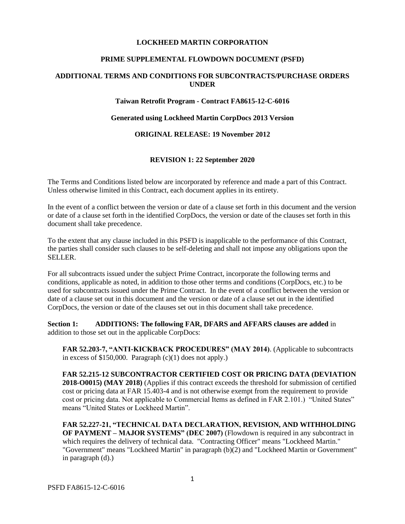#### **LOCKHEED MARTIN CORPORATION**

#### **PRIME SUPPLEMENTAL FLOWDOWN DOCUMENT (PSFD)**

## **ADDITIONAL TERMS AND CONDITIONS FOR SUBCONTRACTS/PURCHASE ORDERS UNDER**

#### **Taiwan Retrofit Program - Contract FA8615-12-C-6016**

#### **Generated using Lockheed Martin CorpDocs 2013 Version**

### **ORIGINAL RELEASE: 19 November 2012**

### **REVISION 1: 22 September 2020**

The Terms and Conditions listed below are incorporated by reference and made a part of this Contract. Unless otherwise limited in this Contract, each document applies in its entirety.

In the event of a conflict between the version or date of a clause set forth in this document and the version or date of a clause set forth in the identified CorpDocs, the version or date of the clauses set forth in this document shall take precedence.

To the extent that any clause included in this PSFD is inapplicable to the performance of this Contract, the parties shall consider such clauses to be self-deleting and shall not impose any obligations upon the SELLER.

For all subcontracts issued under the subject Prime Contract, incorporate the following terms and conditions, applicable as noted, in addition to those other terms and conditions (CorpDocs, etc.) to be used for subcontracts issued under the Prime Contract. In the event of a conflict between the version or date of a clause set out in this document and the version or date of a clause set out in the identified CorpDocs, the version or date of the clauses set out in this document shall take precedence.

**Section 1: ADDITIONS: The following FAR, DFARS and AFFARS clauses are added** in addition to those set out in the applicable CorpDocs:

**FAR 52.203-7, "ANTI-KICKBACK PROCEDURES" (MAY 2014)**. (Applicable to subcontracts in excess of \$150,000. Paragraph  $(c)(1)$  does not apply.)

**FAR 52.215-12 SUBCONTRACTOR CERTIFIED COST OR PRICING DATA (DEVIATION 2018-O0015) (MAY 2018)** (Applies if this contract exceeds the threshold for submission of certified cost or pricing data at FAR 15.403-4 and is not otherwise exempt from the requirement to provide cost or pricing data. Not applicable to Commercial Items as defined in FAR 2.101.) "United States" means "United States or Lockheed Martin".

**FAR 52.227-21, "TECHNICAL DATA DECLARATION, REVISION, AND WITHHOLDING OF PAYMENT – MAJOR SYSTEMS" (DEC 2007)** (Flowdown is required in any subcontract in which requires the delivery of technical data. "Contracting Officer" means "Lockheed Martin." "Government" means "Lockheed Martin" in paragraph (b)(2) and "Lockheed Martin or Government" in paragraph (d).)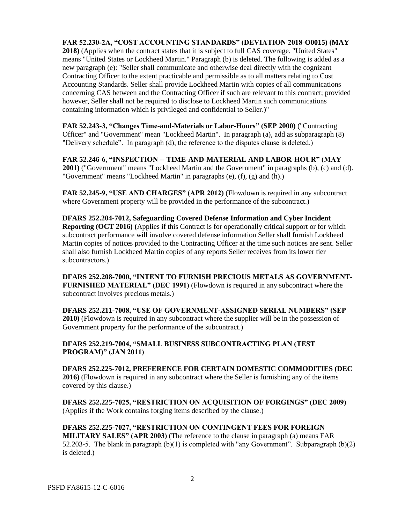**FAR 52.230‐2A, "COST ACCOUNTING STANDARDS" (DEVIATION 2018-O0015) (MAY 2018)** (Applies when the contract states that it is subject to full CAS coverage. "United States" means "United States or Lockheed Martin." Paragraph (b) is deleted. The following is added as a new paragraph (e): "Seller shall communicate and otherwise deal directly with the cognizant Contracting Officer to the extent practicable and permissible as to all matters relating to Cost Accounting Standards. Seller shall provide Lockheed Martin with copies of all communications concerning CAS between and the Contracting Officer if such are relevant to this contract; provided however, Seller shall not be required to disclose to Lockheed Martin such communications containing information which is privileged and confidential to Seller.)"

**FAR 52.243-3, "Changes Time-and-Materials or Labor-Hours" (SEP 2000)** ("Contracting Officer" and "Government" mean "Lockheed Martin". In paragraph (a), add as subparagraph (8) "Delivery schedule". In paragraph (d), the reference to the disputes clause is deleted.)

**FAR 52.246-6, "INSPECTION -- TIME-AND-MATERIAL AND LABOR-HOUR" (MAY 2001)** ("Government" means "Lockheed Martin and the Government" in paragraphs (b), (c) and (d). "Government" means "Lockheed Martin" in paragraphs (e), (f), (g) and (h).)

**FAR 52.245-9, "USE AND CHARGES" (APR 2012)** (Flowdown is required in any subcontract where Government property will be provided in the performance of the subcontract.)

**DFARS 252.204-7012, Safeguarding Covered Defense Information and Cyber Incident Reporting (OCT 2016) (**Applies if this Contract is for operationally critical support or for which subcontract performance will involve covered defense information Seller shall furnish Lockheed Martin copies of notices provided to the Contracting Officer at the time such notices are sent. Seller shall also furnish Lockheed Martin copies of any reports Seller receives from its lower tier subcontractors.)

**DFARS 252.208-7000, "INTENT TO FURNISH PRECIOUS METALS AS GOVERNMENT-FURNISHED MATERIAL" (DEC 1991)** (Flowdown is required in any subcontract where the subcontract involves precious metals.)

**DFARS 252.211-7008, "USE OF GOVERNMENT-ASSIGNED SERIAL NUMBERS" (SEP 2010)** (Flowdown is required in any subcontract where the supplier will be in the possession of Government property for the performance of the subcontract.)

**DFARS 252.219-7004, "SMALL BUSINESS SUBCONTRACTING PLAN (TEST PROGRAM)" (JAN 2011)**

**DFARS 252.225-7012, PREFERENCE FOR CERTAIN DOMESTIC COMMODITIES (DEC 2016)** (Flowdown is required in any subcontract where the Seller is furnishing any of the items covered by this clause.)

**DFARS 252.225-7025, "RESTRICTION ON ACQUISITION OF FORGINGS" (DEC 2009)** (Applies if the Work contains forging items described by the clause.)

**DFARS 252.225-7027, "RESTRICTION ON CONTINGENT FEES FOR FOREIGN MILITARY SALES" (APR 2003)** (The reference to the clause in paragraph (a) means FAR 52.203-5. The blank in paragraph (b)(1) is completed with "any Government". Subparagraph (b)(2) is deleted.)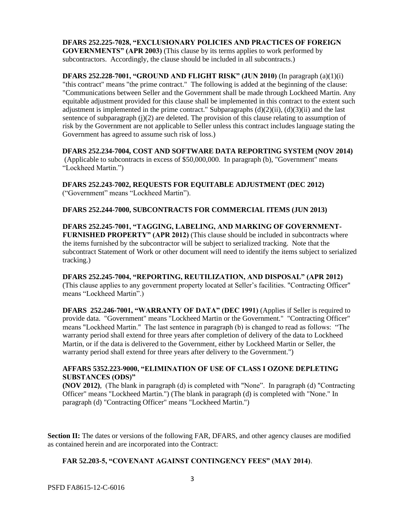**DFARS 252.225-7028, "EXCLUSIONARY POLICIES AND PRACTICES OF FOREIGN GOVERNMENTS" (APR 2003)** (This clause by its terms applies to work performed by subcontractors. Accordingly, the clause should be included in all subcontracts.)

**DFARS 252.228-7001, "GROUND AND FLIGHT RISK" (JUN 2010)** (In paragraph (a)(1)(i) "this contract" means "the prime contract." The following is added at the beginning of the clause: "Communications between Seller and the Government shall be made through Lockheed Martin. Any equitable adjustment provided for this clause shall be implemented in this contract to the extent such adjustment is implemented in the prime contract." Subparagraphs  $(d)(2)(ii)$ ,  $(d)(3)(ii)$  and the last sentence of subparagraph  $(i)(2)$  are deleted. The provision of this clause relating to assumption of risk by the Government are not applicable to Seller unless this contract includes language stating the Government has agreed to assume such risk of loss.)

**DFARS 252.234-7004, COST AND SOFTWARE DATA REPORTING SYSTEM (NOV 2014)** (Applicable to subcontracts in excess of \$50,000,000. In paragraph (b), "Government" means "Lockheed Martin.")

**DFARS 252.243-7002, REQUESTS FOR EQUITABLE ADJUSTMENT (DEC 2012)**  ("Government" means "Lockheed Martin").

**DFARS 252.244-7000, SUBCONTRACTS FOR COMMERCIAL ITEMS (JUN 2013)** 

**DFARS 252.245-7001, "TAGGING, LABELING, AND MARKING OF GOVERNMENT-FURNISHED PROPERTY" (APR 2012)** (This clause should be included in subcontracts where the items furnished by the subcontractor will be subject to serialized tracking. Note that the subcontract Statement of Work or other document will need to identify the items subject to serialized tracking.)

**DFARS 252.245-7004, "REPORTING, REUTILIZATION, AND DISPOSAL" (APR 2012)** (This clause applies to any government property located at Seller's facilities. "Contracting Officer" means "Lockheed Martin".)

**DFARS 252.246-7001, "WARRANTY OF DATA" (DEC 1991)** (Applies if Seller is required to provide data. "Government" means "Lockheed Martin or the Government." "Contracting Officer" means "Lockheed Martin." The last sentence in paragraph (b) is changed to read as follows: "The warranty period shall extend for three years after completion of delivery of the data to Lockheed Martin, or if the data is delivered to the Government, either by Lockheed Martin or Seller, the warranty period shall extend for three years after delivery to the Government.")

# **AFFARS 5352.223-9000, "ELIMINATION OF USE OF CLASS I OZONE DEPLETING SUBSTANCES (ODS)"**

**(NOV 2012)**, (The blank in paragraph (d) is completed with "None". In paragraph (d) "Contracting Officer" means "Lockheed Martin.") (The blank in paragraph (d) is completed with "None." In paragraph (d) "Contracting Officer" means "Lockheed Martin.")

**Section II:** The dates or versions of the following FAR, DFARS, and other agency clauses are modified as contained herein and are incorporated into the Contract:

### **FAR 52.203-5, "COVENANT AGAINST CONTINGENCY FEES" (MAY 2014)**.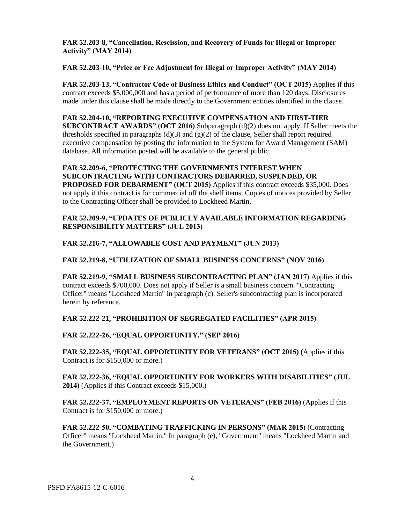# **FAR 52.203-8, "Cancellation, Rescission, and Recovery of Funds for Illegal or Improper Activity" (MAY 2014)**

# **FAR 52.203-10, "Price or Fee Adjustment for Illegal or Improper Activity" (MAY 2014)**

**FAR 52.203-13, "Contractor Code of Business Ethics and Conduct" (OCT 2015)** Applies if this contract exceeds \$5,000,000 and has a period of performance of more than 120 days. Disclosures made under this clause shall be made directly to the Government entities identified in the clause.

### **FAR 52.204-10, "REPORTING EXECUTIVE COMPENSATION AND FIRST‐TIER**

**SUBCONTRACT AWARDS" (OCT 2016)** Subparagraph (d)(2) does not apply. If Seller meets the thresholds specified in paragraphs (d)(3) and  $(g)(2)$  of the clause, Seller shall report required executive compensation by posting the information to the System for Award Management (SAM) database. All information posted will be available to the general public.

**FAR 52.209-6, "PROTECTING THE GOVERNMENTS INTEREST WHEN SUBCONTRACTING WITH CONTRACTORS DEBARRED, SUSPENDED, OR PROPOSED FOR DEBARMENT" (OCT 2015)** Applies if this contract exceeds \$35,000. Does not apply if this contract is for commercial off the shelf items. Copies of notices provided by Seller to the Contracting Officer shall be provided to Lockheed Martin.

### **FAR 52.209-9, "UPDATES OF PUBLICLY AVAILABLE INFORMATION REGARDING RESPONSIBILITY MATTERS" (JUL 2013)**

### **FAR 52.216-7, "ALLOWABLE COST AND PAYMENT" (JUN 2013)**

# **FAR 52.219-8, "UTILIZATION OF SMALL BUSINESS CONCERNS" (NOV 2016)**

**FAR 52.219-9, "SMALL BUSINESS SUBCONTRACTING PLAN" (JAN 2017)** Applies if this contract exceeds \$700,000. Does not apply if Seller is a small business concern. "Contracting Officer" means "Lockheed Martin" in paragraph (c). Seller's subcontracting plan is incorporated herein by reference.

**FAR 52.222-21, "PROHIBITION OF SEGREGATED FACILITIES" (APR 2015)**

**FAR 52.222-26, "EQUAL OPPORTUNITY." (SEP 2016)**

**FAR 52.222-35, "EQUAL OPPORTUNITY FOR VETERANS" (OCT 2015)** (Applies if this Contract is for \$150,000 or more.)

**FAR 52.222-36, "EQUAL OPPORTUNITY FOR WORKERS WITH DISABILITIES" (JUL 2014)** (Applies if this Contract exceeds \$15,000.)

**FAR 52.222-37, "EMPLOYMENT REPORTS ON VETERANS" (FEB 2016)** (Applies if this Contract is for \$150,000 or more.)

**FAR 52.222-50, "COMBATING TRAFFICKING IN PERSONS" (MAR 2015)** (Contracting Officer" means "Lockheed Martin." In paragraph (e), "Government" means "Lockheed Martin and the Government.)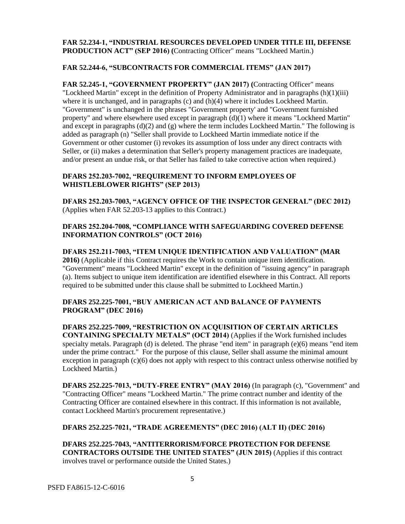# **FAR 52.234-1, "INDUSTRIAL RESOURCES DEVELOPED UNDER TITLE III, DEFENSE PRODUCTION ACT" (SEP 2016) (**Contracting Officer" means "Lockheed Martin.)

# **FAR 52.244-6, "SUBCONTRACTS FOR COMMERCIAL ITEMS" (JAN 2017)**

**FAR 52.245-1, "GOVERNMENT PROPERTY" (JAN 2017) (**Contracting Officer" means "Lockheed Martin" except in the definition of Property Administrator and in paragraphs  $(h)(1)(iii)$ where it is unchanged, and in paragraphs (c) and (h)(4) where it includes Lockheed Martin. "Government" is unchanged in the phrases "Government property' and "Government furnished property" and where elsewhere used except in paragraph  $(d)(1)$  where it means "Lockheed Martin" and except in paragraphs  $(d)(2)$  and  $(g)$  where the term includes Lockheed Martin." The following is added as paragraph (n) "Seller shall provide to Lockheed Martin immediate notice if the Government or other customer (i) revokes its assumption of loss under any direct contracts with Seller, or (ii) makes a determination that Seller's property management practices are inadequate, and/or present an undue risk, or that Seller has failed to take corrective action when required.)

# **DFARS 252.203‐7002, "REQUIREMENT TO INFORM EMPLOYEES OF WHISTLEBLOWER RIGHTS" (SEP 2013)**

**DFARS 252.203‐7003, "AGENCY OFFICE OF THE INSPECTOR GENERAL" (DEC 2012)** (Applies when FAR 52.203-13 applies to this Contract.)

# **DFARS 252.204‐7008, "COMPLIANCE WITH SAFEGUARDING COVERED DEFENSE INFORMATION CONTROLS" (OCT 2016)**

**DFARS 252.211‐7003, "ITEM UNIQUE IDENTIFICATION AND VALUATION" (MAR 2016)** (Applicable if this Contract requires the Work to contain unique item identification. "Government" means "Lockheed Martin" except in the definition of "issuing agency" in paragraph (a). Items subject to unique item identification are identified elsewhere in this Contract. All reports required to be submitted under this clause shall be submitted to Lockheed Martin.)

# **DFARS 252.225-7001, "BUY AMERICAN ACT AND BALANCE OF PAYMENTS PROGRAM" (DEC 2016)**

**DFARS 252.225-7009, "RESTRICTION ON ACQUISITION OF CERTAIN ARTICLES CONTAINING SPECIALTY METALS" (OCT 2014)** (Applies if the Work furnished includes specialty metals. Paragraph (d) is deleted. The phrase "end item" in paragraph (e)(6) means "end item under the prime contract." For the purpose of this clause, Seller shall assume the minimal amount exception in paragraph (c)(6) does not apply with respect to this contract unless otherwise notified by Lockheed Martin.)

**DFARS 252.225-7013, "DUTY‐FREE ENTRY" (MAY 2016)** (In paragraph (c), "Government" and "Contracting Officer" means "Lockheed Martin." The prime contract number and identity of the Contracting Officer are contained elsewhere in this contract. If this information is not available, contact Lockheed Martin's procurement representative.)

### **DFARS 252.225-7021, "TRADE AGREEMENTS" (DEC 2016) (ALT II) (DEC 2016)**

**DFARS 252.225-7043, "ANTITERRORISM/FORCE PROTECTION FOR DEFENSE CONTRACTORS OUTSIDE THE UNITED STATES" (JUN 2015)** (Applies if this contract involves travel or performance outside the United States.)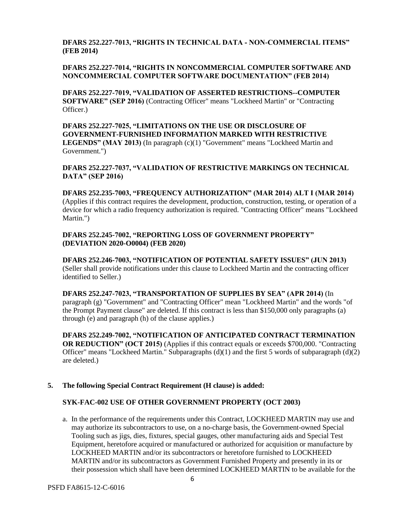# **DFARS 252.227-7013, "RIGHTS IN TECHNICAL DATA ‐ NON-COMMERCIAL ITEMS" (FEB 2014)**

# **DFARS 252.227-7014, "RIGHTS IN NONCOMMERCIAL COMPUTER SOFTWARE AND NONCOMMERCIAL COMPUTER SOFTWARE DOCUMENTATION" (FEB 2014)**

**DFARS 252.227-7019, "VALIDATION OF ASSERTED RESTRICTIONS--COMPUTER SOFTWARE" (SEP 2016)** (Contracting Officer" means "Lockheed Martin" or "Contracting Officer.)

**DFARS 252.227-7025, "LIMITATIONS ON THE USE OR DISCLOSURE OF GOVERNMENT-FURNISHED INFORMATION MARKED WITH RESTRICTIVE LEGENDS" (MAY 2013)** (In paragraph (c)(1) "Government" means "Lockheed Martin and Government.")

**DFARS 252.227-7037, "VALIDATION OF RESTRICTIVE MARKINGS ON TECHNICAL DATA" (SEP 2016)**

**DFARS 252.235-7003, "FREQUENCY AUTHORIZATION" (MAR 2014) ALT I (MAR 2014)** (Applies if this contract requires the development, production, construction, testing, or operation of a device for which a radio frequency authorization is required. "Contracting Officer" means "Lockheed Martin.")

**DFARS 252.245-7002, "REPORTING LOSS OF GOVERNMENT PROPERTY" (DEVIATION 2020-O0004) (FEB 2020)**

**DFARS 252.246-7003, "NOTIFICATION OF POTENTIAL SAFETY ISSUES" (JUN 2013)** (Seller shall provide notifications under this clause to Lockheed Martin and the contracting officer identified to Seller.)

**DFARS 252.247-7023, "TRANSPORTATION OF SUPPLIES BY SEA" (APR 2014)** (In paragraph (g) "Government" and "Contracting Officer" mean "Lockheed Martin" and the words "of the Prompt Payment clause" are deleted. If this contract is less than \$150,000 only paragraphs (a) through (e) and paragraph (h) of the clause applies.)

**DFARS 252.249-7002, "NOTIFICATION OF ANTICIPATED CONTRACT TERMINATION OR REDUCTION" (OCT 2015)** (Applies if this contract equals or exceeds \$700,000. "Contracting Officer" means "Lockheed Martin." Subparagraphs (d)(1) and the first 5 words of subparagraph (d)(2) are deleted.)

### **5. The following Special Contract Requirement (H clause) is added:**

# **SYK-FAC-002 USE OF OTHER GOVERNMENT PROPERTY (OCT 2003)**

a. In the performance of the requirements under this Contract, LOCKHEED MARTIN may use and may authorize its subcontractors to use, on a no-charge basis, the Government-owned Special Tooling such as jigs, dies, fixtures, special gauges, other manufacturing aids and Special Test Equipment, heretofore acquired or manufactured or authorized for acquisition or manufacture by LOCKHEED MARTIN and/or its subcontractors or heretofore furnished to LOCKHEED MARTIN and/or its subcontractors as Government Furnished Property and presently in its or their possession which shall have been determined LOCKHEED MARTIN to be available for the